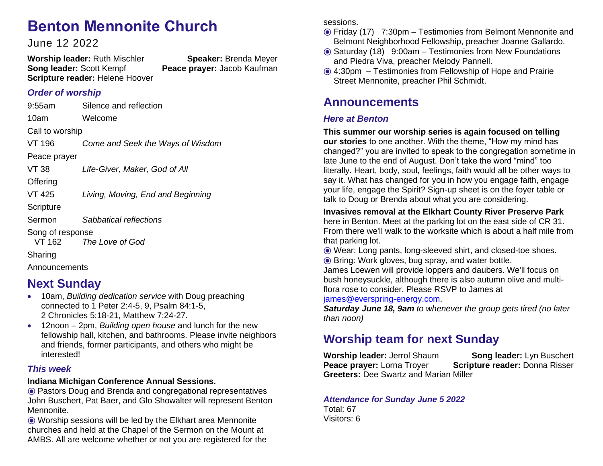# **Benton Mennonite Church**

June 12 2022

**Worship leader:** Ruth Mischler **Speaker:** Brenda Meyer **Song leader:** Scott Kempf **Peace prayer:** Jacob Kaufman **Scripture reader:** Helene Hoover

### *Order of worship*

9:55am Silence and reflection 10am Welcome Call to worship VT 196 *Come and Seek the Ways of Wisdom* Peace prayer VT 38 *Life-Giver, Maker, God of All* **Offering** VT 425 *Living, Moving, End and Beginning* **Scripture** Sermon *Sabbatical reflections* Song of response VT 162 *The Love of God*

Sharing

Announcements

### **Next Sunday**

- 10am, *Building dedication service* with Doug preaching connected to 1 Peter 2:4-5, 9, Psalm 84:1-5, 2 Chronicles 5:18-21, Matthew 7:24-27.
- 12noon 2pm, *Building open house* and lunch for the new fellowship hall, kitchen, and bathrooms. Please invite neighbors and friends, former participants, and others who might be interested!

#### *This week*

#### **Indiana Michigan Conference Annual Sessions.**

⦿ Pastors Doug and Brenda and congregational representatives John Buschert, Pat Baer, and Glo Showalter will represent Benton Mennonite.

⦿ Worship sessions will be led by the Elkhart area Mennonite churches and held at the Chapel of the Sermon on the Mount at AMBS. All are welcome whether or not you are registered for the sessions.

- ⦿ Friday (17) 7:30pm Testimonies from Belmont Mennonite and Belmont Neighborhood Fellowship, preacher Joanne Gallardo.
- ⦿ Saturday (18) 9:00am Testimonies from New Foundations and Piedra Viva, preacher Melody Pannell.
- ⦿ 4:30pm Testimonies from Fellowship of Hope and Prairie ⦿ Street Mennonite, preacher Phil Schmidt.

### **Announcements**

#### *Here at Benton*

**This summer our worship series is again focused on telling our stories** to one another. With the theme, "How my mind has changed?" you are invited to speak to the congregation sometime in late June to the end of August. Don't take the word "mind" too literally. Heart, body, soul, feelings, faith would all be other ways to say it. What has changed for you in how you engage faith, engage your life, engage the Spirit? Sign-up sheet is on the foyer table or talk to Doug or Brenda about what you are considering.

**Invasives removal at the Elkhart County River Preserve Park** here in Benton. Meet at the parking lot on the east side of CR 31. From there we'll walk to the worksite which is about a half mile from that parking lot.

⦿ Wear: Long pants, long-sleeved shirt, and closed-toe shoes.

⦿ Bring: Work gloves, bug spray, and water bottle.

James Loewen will provide loppers and daubers. We'll focus on bush honeysuckle, although there is also autumn olive and multiflora rose to consider. Please RSVP to James at

[james@everspring-energy.com.](mailto:james@everspring-energy.com)

*Saturday June 18, 9am to whenever the group gets tired (no later than noon)*

## **Worship team for next Sunday**

**Worship leader: Jerrol Shaum <b>Song leader:** Lyn Buschert **Peace prayer:** Lorna Troyer **Scripture reader: Donna Risser Greeters:** Dee Swartz and Marian Miller

#### *Attendance for Sunday June 5 2022* Total: 67

Visitors: 6